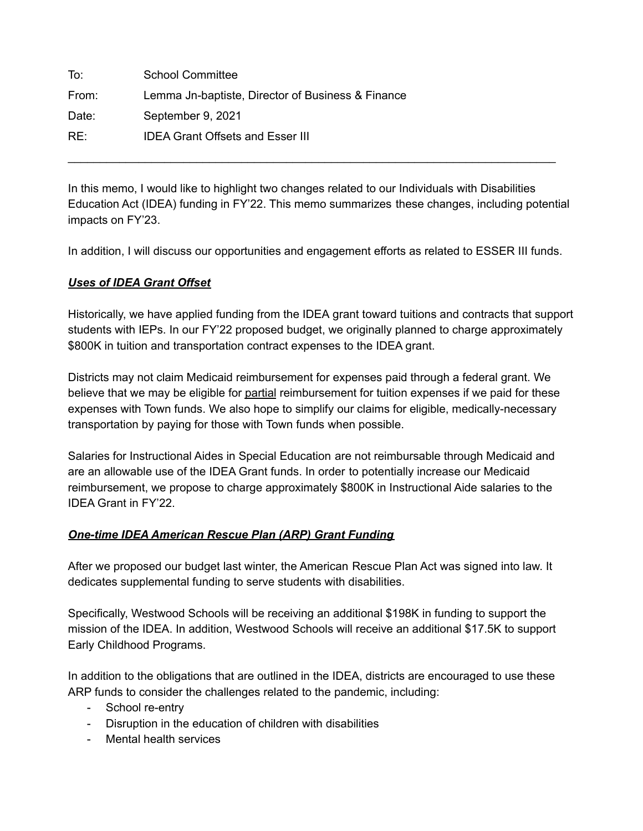To: School Committee From: Lemma Jn-baptiste, Director of Business & Finance Date: September 9, 2021 RE: IDEA Grant Offsets and Esser III

In this memo, I would like to highlight two changes related to our Individuals with Disabilities Education Act (IDEA) funding in FY'22. This memo summarizes these changes, including potential impacts on FY'23.

\_\_\_\_\_\_\_\_\_\_\_\_\_\_\_\_\_\_\_\_\_\_\_\_\_\_\_\_\_\_\_\_\_\_\_\_\_\_\_\_\_\_\_\_\_\_\_\_\_\_\_\_\_\_\_\_\_\_\_\_\_\_\_\_\_\_\_\_\_\_\_\_\_\_\_\_

In addition, I will discuss our opportunities and engagement efforts as related to ESSER III funds.

## *Uses of IDEA Grant Offset*

Historically, we have applied funding from the IDEA grant toward tuitions and contracts that support students with IEPs. In our FY'22 proposed budget, we originally planned to charge approximately \$800K in tuition and transportation contract expenses to the IDEA grant.

Districts may not claim Medicaid reimbursement for expenses paid through a federal grant. We believe that we may be eligible for partial reimbursement for tuition expenses if we paid for these expenses with Town funds. We also hope to simplify our claims for eligible, medically-necessary transportation by paying for those with Town funds when possible.

Salaries for Instructional Aides in Special Education are not reimbursable through Medicaid and are an allowable use of the IDEA Grant funds. In order to potentially increase our Medicaid reimbursement, we propose to charge approximately \$800K in Instructional Aide salaries to the IDEA Grant in FY'22.

## *One-time IDEA American Rescue Plan (ARP) Grant Funding*

After we proposed our budget last winter, the American Rescue Plan Act was signed into law. It dedicates supplemental funding to serve students with disabilities.

Specifically, Westwood Schools will be receiving an additional \$198K in funding to support the mission of the IDEA. In addition, Westwood Schools will receive an additional \$17.5K to support Early Childhood Programs.

In addition to the obligations that are outlined in the IDEA, districts are encouraged to use these ARP funds to consider the challenges related to the pandemic, including:

- School re-entry
- Disruption in the education of children with disabilities
- Mental health services